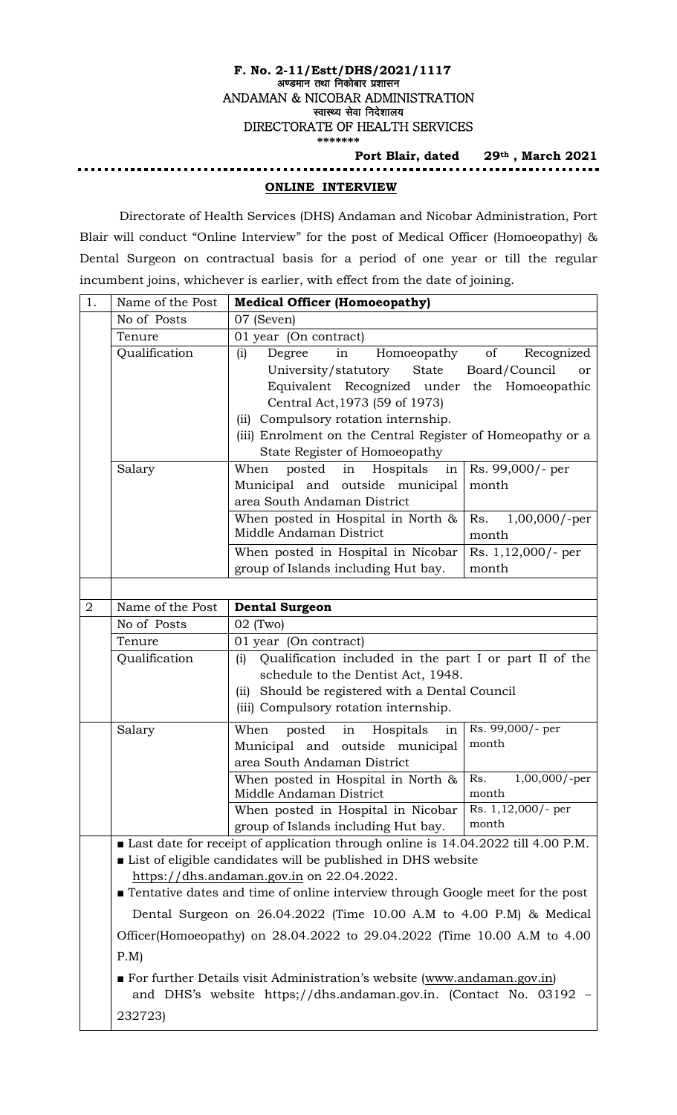#### **F. No. 2-11/Estt/DHS/2021/1117** अण्डमान तथा निकोबार प्रशासन ANDAMAN & NICOBAR ADMINISTRATION स्वास्थ्य सेवा निदेशालय DIRECTORATE OF HEALTH SERVICES **\*\*\*\*\*\*\***

#### **Port Blair, dated 29th , March 2021 ONLINE INTERVIEW**

Directorate of Health Services (DHS) Andaman and Nicobar Administration, Port Blair will conduct "Online Interview" for the post of Medical Officer (Homoeopathy) & Dental Surgeon on contractual basis for a period of one year or till the regular incumbent joins, whichever is earlier, with effect from the date of joining.

| 1.             | Name of the Post                                                                                                                                                                                                                                                                                                                                                                                                                  | <b>Medical Officer (Homoeopathy)</b>                                                                                                                                                                                                                                                                                                                       |  |  |  |  |
|----------------|-----------------------------------------------------------------------------------------------------------------------------------------------------------------------------------------------------------------------------------------------------------------------------------------------------------------------------------------------------------------------------------------------------------------------------------|------------------------------------------------------------------------------------------------------------------------------------------------------------------------------------------------------------------------------------------------------------------------------------------------------------------------------------------------------------|--|--|--|--|
|                | No of Posts                                                                                                                                                                                                                                                                                                                                                                                                                       | 07 (Seven)                                                                                                                                                                                                                                                                                                                                                 |  |  |  |  |
|                | Tenure                                                                                                                                                                                                                                                                                                                                                                                                                            | 01 year (On contract)                                                                                                                                                                                                                                                                                                                                      |  |  |  |  |
|                | Qualification                                                                                                                                                                                                                                                                                                                                                                                                                     | of<br>Recognized<br>(i)<br>Degree<br>in<br>Homoeopathy<br>State<br>University/statutory<br>Board/Council<br>or<br>Equivalent Recognized under the Homoeopathic<br>Central Act, 1973 (59 of 1973)<br>Compulsory rotation internship.<br>(i)<br>(iii) Enrolment on the Central Register of Homeopathy or a                                                   |  |  |  |  |
|                |                                                                                                                                                                                                                                                                                                                                                                                                                                   | State Register of Homoeopathy                                                                                                                                                                                                                                                                                                                              |  |  |  |  |
|                | Salary                                                                                                                                                                                                                                                                                                                                                                                                                            | Hospitals<br>Rs. 99,000/- per<br>When<br>posted in<br>in<br>Municipal and outside municipal<br>month<br>area South Andaman District                                                                                                                                                                                                                        |  |  |  |  |
|                |                                                                                                                                                                                                                                                                                                                                                                                                                                   | When posted in Hospital in North &<br>$1,00,000$ /-per<br>Rs.<br>Middle Andaman District<br>month                                                                                                                                                                                                                                                          |  |  |  |  |
|                |                                                                                                                                                                                                                                                                                                                                                                                                                                   | When posted in Hospital in Nicobar<br>Rs. 1,12,000/- per<br>group of Islands including Hut bay.<br>month                                                                                                                                                                                                                                                   |  |  |  |  |
|                |                                                                                                                                                                                                                                                                                                                                                                                                                                   |                                                                                                                                                                                                                                                                                                                                                            |  |  |  |  |
| $\overline{2}$ | Name of the Post                                                                                                                                                                                                                                                                                                                                                                                                                  | <b>Dental Surgeon</b>                                                                                                                                                                                                                                                                                                                                      |  |  |  |  |
|                | No of Posts                                                                                                                                                                                                                                                                                                                                                                                                                       | $02$ (Two)                                                                                                                                                                                                                                                                                                                                                 |  |  |  |  |
|                | 01 year (On contract)<br>Tenure                                                                                                                                                                                                                                                                                                                                                                                                   |                                                                                                                                                                                                                                                                                                                                                            |  |  |  |  |
|                | Qualification                                                                                                                                                                                                                                                                                                                                                                                                                     | Qualification included in the part I or part II of the<br>(i)<br>schedule to the Dentist Act, 1948.<br>(ii) Should be registered with a Dental Council<br>(iii) Compulsory rotation internship.                                                                                                                                                            |  |  |  |  |
|                | Salary                                                                                                                                                                                                                                                                                                                                                                                                                            | Rs. 99,000/- per<br>posted<br>in<br>Hospitals<br>When<br>in<br>month<br>Municipal and outside municipal<br>area South Andaman District<br>$1,00,000$ /-per<br>Rs.<br>When posted in Hospital in North &<br>Middle Andaman District<br>month<br>Rs. $1,12,000/$ - per<br>When posted in Hospital in Nicobar<br>month<br>group of Islands including Hut bay. |  |  |  |  |
|                | Last date for receipt of application through online is 14.04.2022 till 4.00 P.M.<br>List of eligible candidates will be published in DHS website<br>https://dhs.andaman.gov.in on 22.04.2022.<br>Tentative dates and time of online interview through Google meet for the post<br>Dental Surgeon on 26.04.2022 (Time 10.00 A.M to 4.00 P.M) & Medical<br>Officer(Homoeopathy) on 28.04.2022 to 29.04.2022 (Time 10.00 A.M to 4.00 |                                                                                                                                                                                                                                                                                                                                                            |  |  |  |  |
|                |                                                                                                                                                                                                                                                                                                                                                                                                                                   |                                                                                                                                                                                                                                                                                                                                                            |  |  |  |  |
|                |                                                                                                                                                                                                                                                                                                                                                                                                                                   |                                                                                                                                                                                                                                                                                                                                                            |  |  |  |  |
|                | P.M                                                                                                                                                                                                                                                                                                                                                                                                                               |                                                                                                                                                                                                                                                                                                                                                            |  |  |  |  |
|                | For further Details visit Administration's website (www.andaman.gov.in)<br>and DHS's website https;//dhs.andaman.gov.in. (Contact No. 03192)<br>232723)                                                                                                                                                                                                                                                                           |                                                                                                                                                                                                                                                                                                                                                            |  |  |  |  |
|                |                                                                                                                                                                                                                                                                                                                                                                                                                                   |                                                                                                                                                                                                                                                                                                                                                            |  |  |  |  |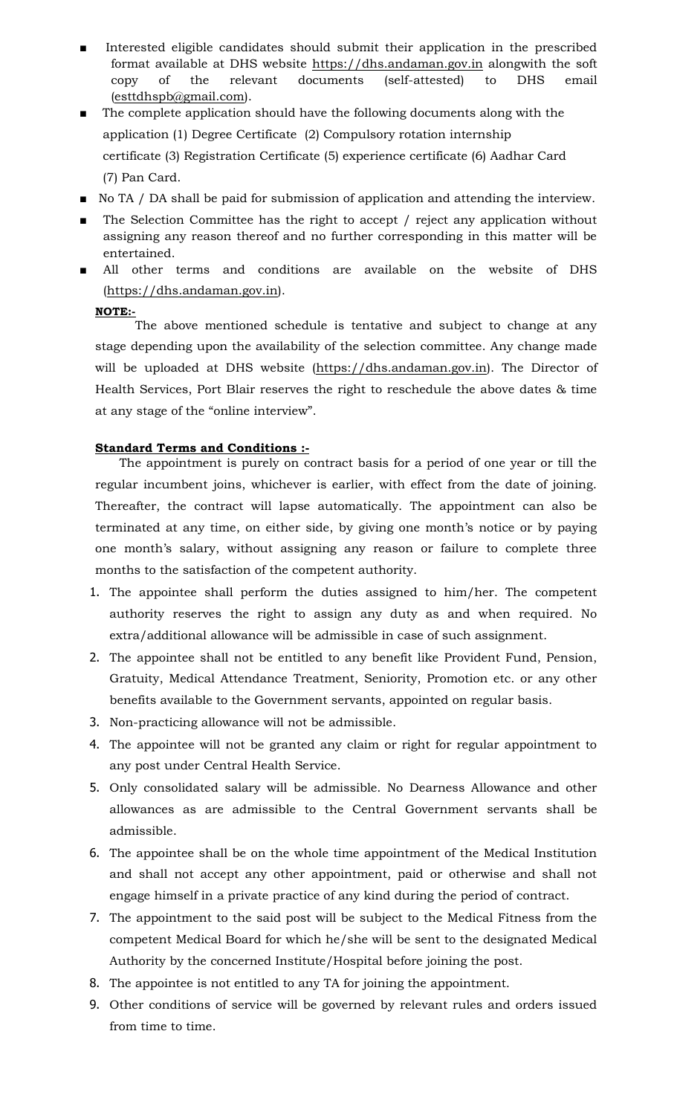- Interested eligible candidates should submit their application in the prescribed format available at DHS website [https://dhs.andaman.gov.in](https://dhs.andaman.gov.in/) alongwith the soft copy of the relevant documents (self-attested) to DHS email [\(esttdhspb@gmail.com\)](mailto:esttdhspb@gmail.com).
- The complete application should have the following documents along with the application (1) Degree Certificate (2) Compulsory rotation internship certificate (3) Registration Certificate (5) experience certificate (6) Aadhar Card (7) Pan Card.
- No TA / DA shall be paid for submission of application and attending the interview.
- The Selection Committee has the right to accept / reject any application without assigning any reason thereof and no further corresponding in this matter will be entertained.
- All other terms and conditions are available on the website of DHS [\(https://dhs.andaman.gov.in\)](https://dhs.andaman.gov.in/).

## **NOTE:-**

The above mentioned schedule is tentative and subject to change at any stage depending upon the availability of the selection committee. Any change made will be uploaded at DHS website [\(https://dhs.andaman.gov.in\)](https://dhs.andaman.gov.in/). The Director of Health Services, Port Blair reserves the right to reschedule the above dates & time at any stage of the "online interview".

## **Standard Terms and Conditions :-**

The appointment is purely on contract basis for a period of one year or till the regular incumbent joins, whichever is earlier, with effect from the date of joining. Thereafter, the contract will lapse automatically. The appointment can also be terminated at any time, on either side, by giving one month's notice or by paying one month's salary, without assigning any reason or failure to complete three months to the satisfaction of the competent authority.

- 1. The appointee shall perform the duties assigned to him/her. The competent authority reserves the right to assign any duty as and when required. No extra/additional allowance will be admissible in case of such assignment.
- 2. The appointee shall not be entitled to any benefit like Provident Fund, Pension, Gratuity, Medical Attendance Treatment, Seniority, Promotion etc. or any other benefits available to the Government servants, appointed on regular basis.
- 3. Non-practicing allowance will not be admissible.
- 4. The appointee will not be granted any claim or right for regular appointment to any post under Central Health Service.
- 5. Only consolidated salary will be admissible. No Dearness Allowance and other allowances as are admissible to the Central Government servants shall be admissible.
- 6. The appointee shall be on the whole time appointment of the Medical Institution and shall not accept any other appointment, paid or otherwise and shall not engage himself in a private practice of any kind during the period of contract.
- 7. The appointment to the said post will be subject to the Medical Fitness from the competent Medical Board for which he/she will be sent to the designated Medical Authority by the concerned Institute/Hospital before joining the post.
- 8. The appointee is not entitled to any TA for joining the appointment.
- 9. Other conditions of service will be governed by relevant rules and orders issued from time to time.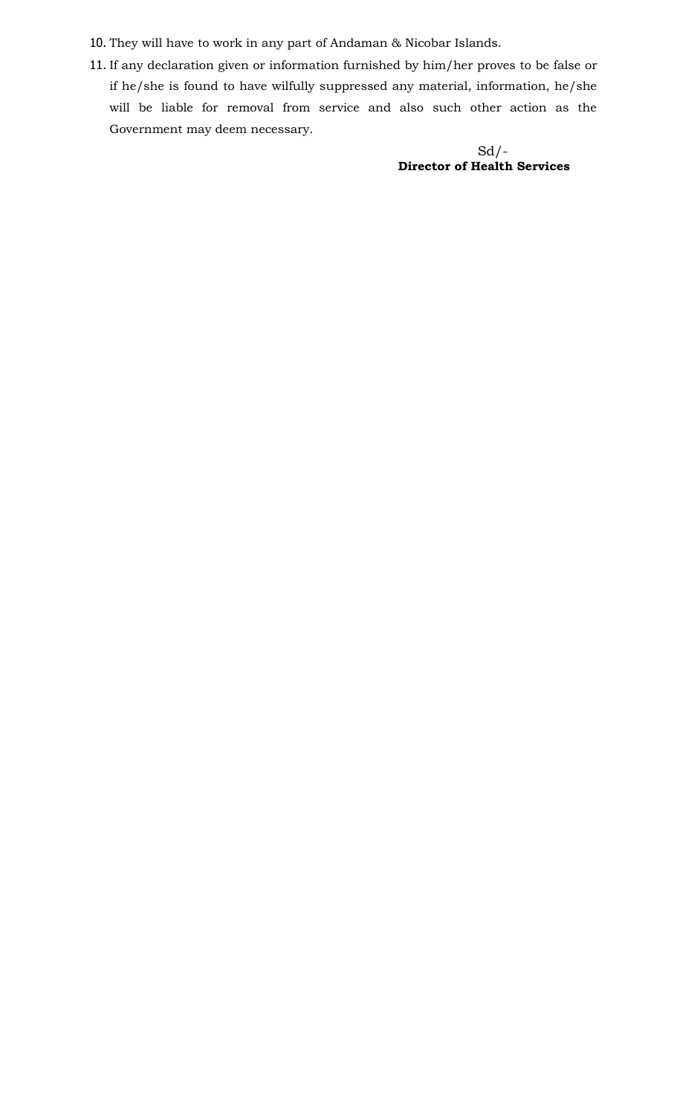- 10. They will have to work in any part of Andaman & Nicobar Islands.
- 11. If any declaration given or information furnished by him/her proves to be false or if he/she is found to have wilfully suppressed any material, information, he/she will be liable for removal from service and also such other action as the Government may deem necessary.

 $Sd$  /-**Director of Health Services**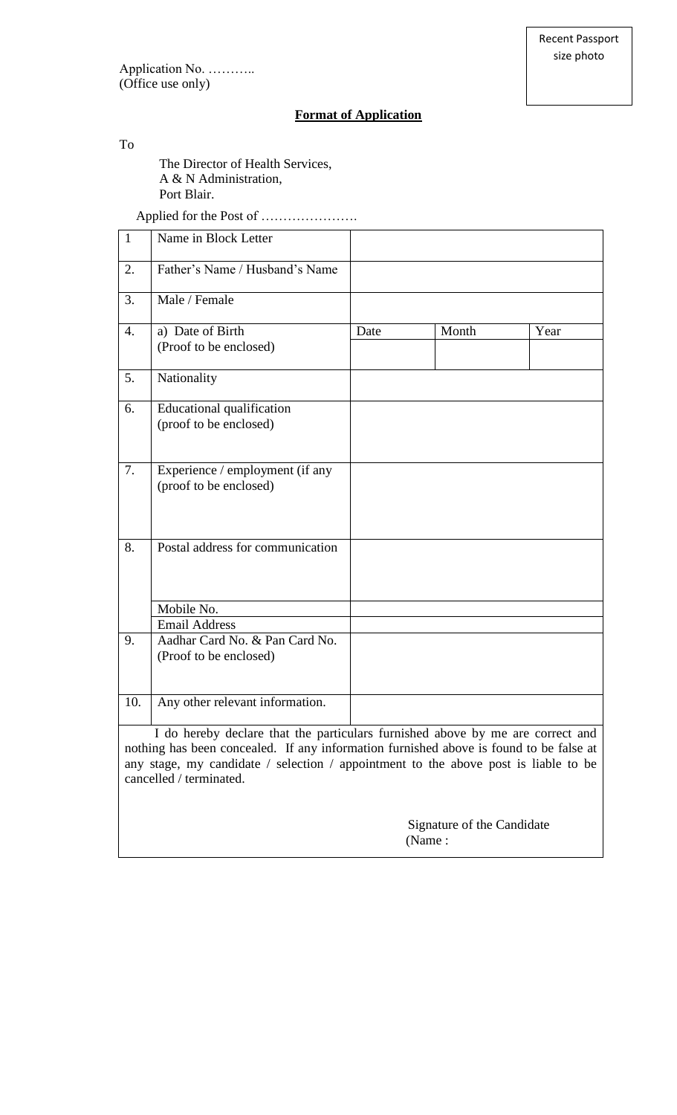## **Format of Application**

### To

The Director of Health Services, A & N Administration, Port Blair.

Applied for the Post of ………………….

| $\mathbf{1}$                                                                                                                                                                                                                                                                               | Name in Block Letter                                       |      |       |      |  |  |
|--------------------------------------------------------------------------------------------------------------------------------------------------------------------------------------------------------------------------------------------------------------------------------------------|------------------------------------------------------------|------|-------|------|--|--|
| 2.                                                                                                                                                                                                                                                                                         | Father's Name / Husband's Name                             |      |       |      |  |  |
| 3.                                                                                                                                                                                                                                                                                         | Male / Female                                              |      |       |      |  |  |
| 4.                                                                                                                                                                                                                                                                                         | a) Date of Birth<br>(Proof to be enclosed)                 | Date | Month | Year |  |  |
| 5.                                                                                                                                                                                                                                                                                         | Nationality                                                |      |       |      |  |  |
| 6.                                                                                                                                                                                                                                                                                         | <b>Educational qualification</b><br>(proof to be enclosed) |      |       |      |  |  |
| 7.                                                                                                                                                                                                                                                                                         | Experience / employment (if any<br>(proof to be enclosed)  |      |       |      |  |  |
| 8.                                                                                                                                                                                                                                                                                         | Postal address for communication                           |      |       |      |  |  |
|                                                                                                                                                                                                                                                                                            | Mobile No.                                                 |      |       |      |  |  |
|                                                                                                                                                                                                                                                                                            | <b>Email Address</b>                                       |      |       |      |  |  |
| 9.                                                                                                                                                                                                                                                                                         | Aadhar Card No. & Pan Card No.<br>(Proof to be enclosed)   |      |       |      |  |  |
| 10.                                                                                                                                                                                                                                                                                        | Any other relevant information.                            |      |       |      |  |  |
| I do hereby declare that the particulars furnished above by me are correct and<br>nothing has been concealed. If any information furnished above is found to be false at<br>any stage, my candidate / selection / appointment to the above post is liable to be<br>cancelled / terminated. |                                                            |      |       |      |  |  |

 Signature of the Candidate (Name :